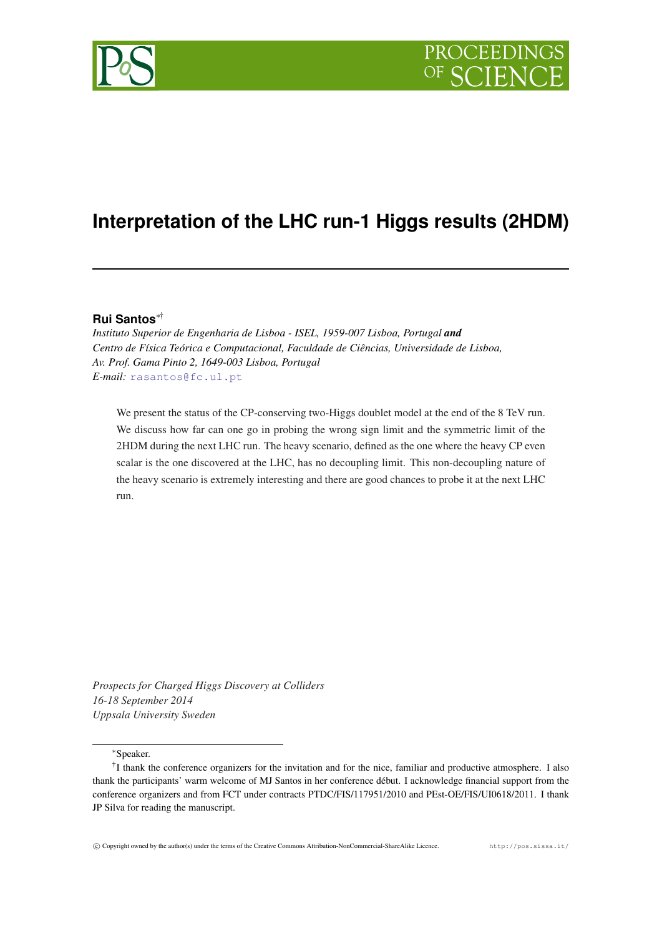

# **Interpretation of the LHC run-1 Higgs results (2HDM)**

## **Rui Santos**∗†

*Instituto Superior de Engenharia de Lisboa - ISEL, 1959-007 Lisboa, Portugal and Centro de Física Teórica e Computacional, Faculdade de Ciências, Universidade de Lisboa, Av. Prof. Gama Pinto 2, 1649-003 Lisboa, Portugal E-mail:* [rasantos@fc.ul.pt](mailto:rasantos@fc.ul.pt)

We present the status of the CP-conserving two-Higgs doublet model at the end of the 8 TeV run. We discuss how far can one go in probing the wrong sign limit and the symmetric limit of the 2HDM during the next LHC run. The heavy scenario, defined as the one where the heavy CP even scalar is the one discovered at the LHC, has no decoupling limit. This non-decoupling nature of the heavy scenario is extremely interesting and there are good chances to probe it at the next LHC run.

*Prospects for Charged Higgs Discovery at Colliders 16-18 September 2014 Uppsala University Sweden*

<sup>∗</sup>Speaker.

<sup>&</sup>lt;sup>†</sup>I thank the conference organizers for the invitation and for the nice, familiar and productive atmosphere. I also thank the participants' warm welcome of MJ Santos in her conference début. I acknowledge financial support from the conference organizers and from FCT under contracts PTDC/FIS/117951/2010 and PEst-OE/FIS/UI0618/2011. I thank JP Silva for reading the manuscript.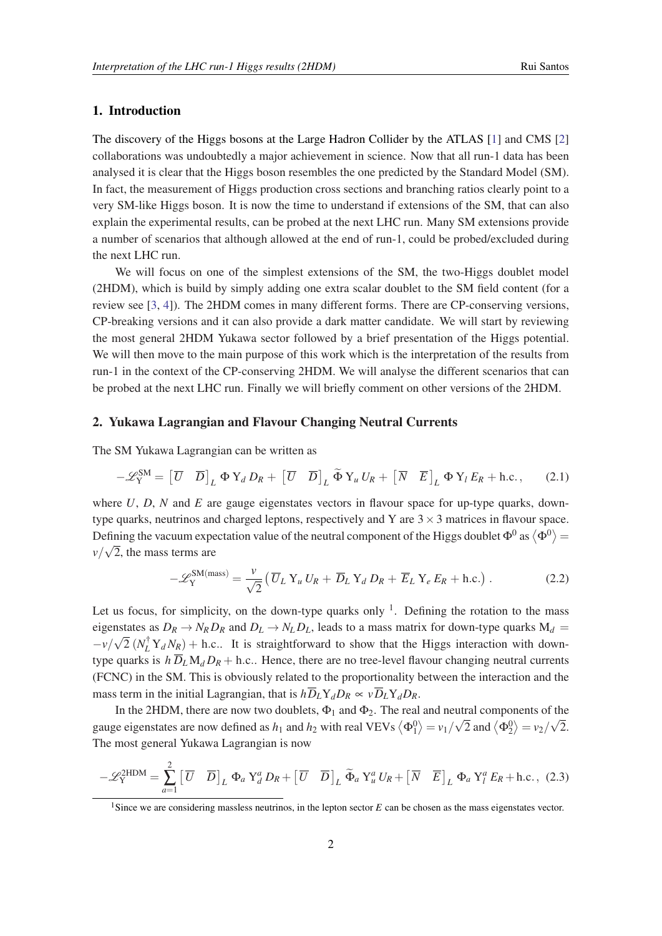### 1. Introduction

The discovery of the Higgs bosons at the Large Hadron Collider by the ATLAS [[1](#page-8-0)] and CMS [[2](#page-8-0)] collaborations was undoubtedly a major achievement in science. Now that all run-1 data has been analysed it is clear that the Higgs boson resembles the one predicted by the Standard Model (SM). In fact, the measurement of Higgs production cross sections and branching ratios clearly point to a very SM-like Higgs boson. It is now the time to understand if extensions of the SM, that can also explain the experimental results, can be probed at the next LHC run. Many SM extensions provide a number of scenarios that although allowed at the end of run-1, could be probed/excluded during the next LHC run.

We will focus on one of the simplest extensions of the SM, the two-Higgs doublet model (2HDM), which is build by simply adding one extra scalar doublet to the SM field content (for a review see [[3](#page-8-0), [4](#page-8-0)]). The 2HDM comes in many different forms. There are CP-conserving versions, CP-breaking versions and it can also provide a dark matter candidate. We will start by reviewing the most general 2HDM Yukawa sector followed by a brief presentation of the Higgs potential. We will then move to the main purpose of this work which is the interpretation of the results from run-1 in the context of the CP-conserving 2HDM. We will analyse the different scenarios that can be probed at the next LHC run. Finally we will briefly comment on other versions of the 2HDM.

#### 2. Yukawa Lagrangian and Flavour Changing Neutral Currents

The SM Yukawa Lagrangian can be written as

$$
-\mathscr{L}_{Y}^{SM} = \begin{bmatrix} \overline{U} & \overline{D} \end{bmatrix}_{L} \Phi Y_{d} D_{R} + \begin{bmatrix} \overline{U} & \overline{D} \end{bmatrix}_{L} \widetilde{\Phi} Y_{u} U_{R} + \begin{bmatrix} \overline{N} & \overline{E} \end{bmatrix}_{L} \Phi Y_{l} E_{R} + \text{h.c.}, \quad (2.1)
$$

where  $U$ ,  $D$ ,  $N$  and  $E$  are gauge eigenstates vectors in flavour space for up-type quarks, downtype quarks, neutrinos and charged leptons, respectively and Y are  $3 \times 3$  matrices in flavour space. Defining the vacuum expectation value of the neutral component of the Higgs doublet  $\Phi^0$  as  $\langle \Phi^0 \rangle$  =  $\nu/\sqrt{2}$ , the mass terms are

$$
-\mathscr{L}_{Y}^{SM(mass)} = \frac{\nu}{\sqrt{2}} \left( \overline{U}_{L} Y_{u} U_{R} + \overline{D}_{L} Y_{d} D_{R} + \overline{E}_{L} Y_{e} E_{R} + \text{h.c.} \right). \tag{2.2}
$$

Let us focus, for simplicity, on the down-type quarks only  $1$ . Defining the rotation to the mass eigenstates as  $D_R \to N_R D_R$  and  $D_L \to N_L D_L$ , leads to a mass matrix for down-type quarks  $M_d =$  $-v/\sqrt{2}$  ( $N_L^{\dagger} Y_d N_R$ ) + h.c.. It is straightforward to show that the Higgs interaction with downtype quarks is  $h \overline{D}_L M_d D_R + h.c.$ . Hence, there are no tree-level flavour changing neutral currents (FCNC) in the SM. This is obviously related to the proportionality between the interaction and the mass term in the initial Lagrangian, that is  $h\overline{D}_L Y_dD_R \propto v\overline{D}_L Y_dD_R$ .

In the 2HDM, there are now two doublets,  $\Phi_1$  and  $\Phi_2$ . The real and neutral components of the gauge eigenstates are now defined as  $h_1$  and  $h_2$  with real VEVs  $\langle \Phi_1^0 \rangle = v_1/\sqrt{2}$  and  $\langle \Phi_2^0 \rangle = v_2/\sqrt{2}$ . The most general Yukawa Lagrangian is now

$$
-\mathscr{L}_{Y}^{2HDM} = \sum_{a=1}^{2} \left[ \overline{U} \quad \overline{D} \right]_{L} \Phi_{a} Y_{d}^{a} D_{R} + \left[ \overline{U} \quad \overline{D} \right]_{L} \widetilde{\Phi}_{a} Y_{u}^{a} U_{R} + \left[ \overline{N} \quad \overline{E} \right]_{L} \Phi_{a} Y_{l}^{a} E_{R} + \text{h.c.}, \quad (2.3)
$$

<sup>&</sup>lt;sup>1</sup>Since we are considering massless neutrinos, in the lepton sector *E* can be chosen as the mass eigenstates vector.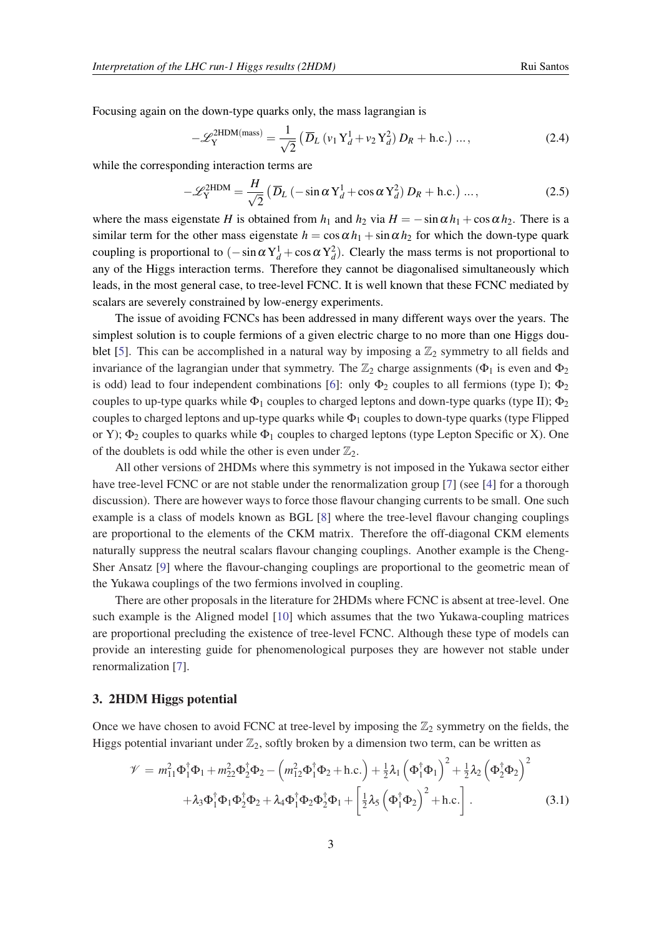Focusing again on the down-type quarks only, the mass lagrangian is

$$
-\mathcal{L}_{Y}^{2HDM(mass)} = \frac{1}{\sqrt{2}} \left( \overline{D}_{L} \left( v_{1} Y_{d}^{1} + v_{2} Y_{d}^{2} \right) D_{R} + \text{h.c.} \right) \dots, \tag{2.4}
$$

while the corresponding interaction terms are

$$
-\mathcal{L}_{Y}^{2HDM} = \frac{H}{\sqrt{2}} \left( \overline{D}_L \left( -\sin \alpha \, Y_d^1 + \cos \alpha \, Y_d^2 \right) D_R + \text{h.c.} \right) \dots,\tag{2.5}
$$

where the mass eigenstate *H* is obtained from  $h_1$  and  $h_2$  via  $H = -\sin \alpha h_1 + \cos \alpha h_2$ . There is a similar term for the other mass eigenstate  $h = \cos \alpha h_1 + \sin \alpha h_2$  for which the down-type quark coupling is proportional to  $(-\sin \alpha Y_d^1 + \cos \alpha Y_d^2)$ . Clearly the mass terms is not proportional to any of the Higgs interaction terms. Therefore they cannot be diagonalised simultaneously which leads, in the most general case, to tree-level FCNC. It is well known that these FCNC mediated by scalars are severely constrained by low-energy experiments.

The issue of avoiding FCNCs has been addressed in many different ways over the years. The simplest solution is to couple fermions of a given electric charge to no more than one Higgs dou-blet [[5](#page-9-0)]. This can be accomplished in a natural way by imposing a  $\mathbb{Z}_2$  symmetry to all fields and invariance of the lagrangian under that symmetry. The  $\mathbb{Z}_2$  charge assignments ( $\Phi_1$  is even and  $\Phi_2$ ) is odd) lead to four independent combinations [[6\]](#page-9-0): only  $\Phi_2$  couples to all fermions (type I);  $\Phi_2$ couples to up-type quarks while  $\Phi_1$  couples to charged leptons and down-type quarks (type II);  $\Phi_2$ couples to charged leptons and up-type quarks while  $\Phi_1$  couples to down-type quarks (type Flipped or Y);  $\Phi_2$  couples to quarks while  $\Phi_1$  couples to charged leptons (type Lepton Specific or X). One of the doublets is odd while the other is even under  $\mathbb{Z}_2$ .

All other versions of 2HDMs where this symmetry is not imposed in the Yukawa sector either have tree-level FCNC or are not stable under the renormalization group [[7](#page-9-0)] (see [[4\]](#page-8-0) for a thorough discussion). There are however ways to force those flavour changing currents to be small. One such example is a class of models known as BGL [[8](#page-9-0)] where the tree-level flavour changing couplings are proportional to the elements of the CKM matrix. Therefore the off-diagonal CKM elements naturally suppress the neutral scalars flavour changing couplings. Another example is the Cheng-Sher Ansatz [\[9](#page-9-0)] where the flavour-changing couplings are proportional to the geometric mean of the Yukawa couplings of the two fermions involved in coupling.

There are other proposals in the literature for 2HDMs where FCNC is absent at tree-level. One such example is the Aligned model [[10\]](#page-9-0) which assumes that the two Yukawa-coupling matrices are proportional precluding the existence of tree-level FCNC. Although these type of models can provide an interesting guide for phenomenological purposes they are however not stable under renormalization [[7](#page-9-0)].

#### 3. 2HDM Higgs potential

Once we have chosen to avoid FCNC at tree-level by imposing the  $\mathbb{Z}_2$  symmetry on the fields, the Higgs potential invariant under  $\mathbb{Z}_2$ , softly broken by a dimension two term, can be written as

$$
\mathcal{V} = m_{11}^2 \Phi_1^{\dagger} \Phi_1 + m_{22}^2 \Phi_2^{\dagger} \Phi_2 - \left( m_{12}^2 \Phi_1^{\dagger} \Phi_2 + \text{h.c.} \right) + \frac{1}{2} \lambda_1 \left( \Phi_1^{\dagger} \Phi_1 \right)^2 + \frac{1}{2} \lambda_2 \left( \Phi_2^{\dagger} \Phi_2 \right)^2 + \lambda_3 \Phi_1^{\dagger} \Phi_1 \Phi_2^{\dagger} \Phi_2 + \lambda_4 \Phi_1^{\dagger} \Phi_2 \Phi_2^{\dagger} \Phi_1 + \left[ \frac{1}{2} \lambda_5 \left( \Phi_1^{\dagger} \Phi_2 \right)^2 + \text{h.c.} \right].
$$
\n(3.1)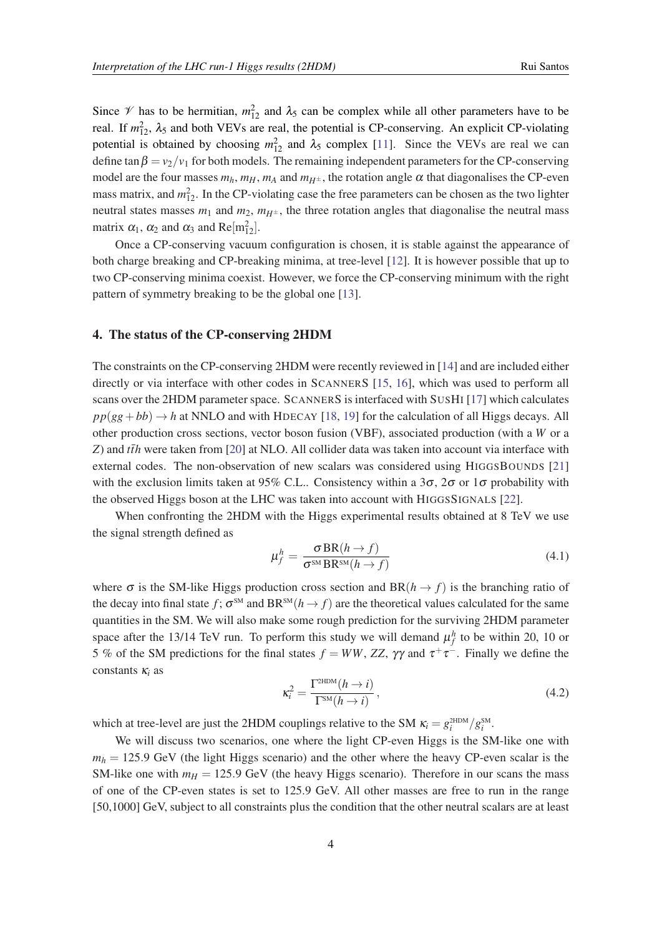Since  $\mathcal V$  has to be hermitian,  $m_{12}^2$  and  $\lambda_5$  can be complex while all other parameters have to be real. If  $m_{12}^2$ ,  $\lambda_5$  and both VEVs are real, the potential is CP-conserving. An explicit CP-violating potential is obtained by choosing  $m_{12}^2$  and  $\lambda_5$  complex [[11\]](#page-9-0). Since the VEVs are real we can define tan  $\beta = v_2/v_1$  for both models. The remaining independent parameters for the CP-conserving model are the four masses  $m_h$ ,  $m_H$ ,  $m_A$  and  $m_{H^{\pm}}$ , the rotation angle  $\alpha$  that diagonalises the CP-even mass matrix, and  $m_{12}^2$ . In the CP-violating case the free parameters can be chosen as the two lighter neutral states masses  $m_1$  and  $m_2$ ,  $m_{H^{\pm}}$ , the three rotation angles that diagonalise the neutral mass matrix  $\alpha_1$ ,  $\alpha_2$  and  $\alpha_3$  and  $\text{Re}[\text{m}_{12}^2]$ .

Once a CP-conserving vacuum configuration is chosen, it is stable against the appearance of both charge breaking and CP-breaking minima, at tree-level [[12\]](#page-9-0). It is however possible that up to two CP-conserving minima coexist. However, we force the CP-conserving minimum with the right pattern of symmetry breaking to be the global one [[13\]](#page-9-0).

#### 4. The status of the CP-conserving 2HDM

The constraints on the CP-conserving 2HDM were recently reviewed in [\[14](#page-9-0)] and are included either directly or via interface with other codes in SCANNERS [[15,](#page-9-0) [16\]](#page-9-0), which was used to perform all scans over the 2HDM parameter space. SCANNERS is interfaced with SUSHI [\[17](#page-9-0)] which calculates  $pp(gg + bb) \rightarrow h$  at NNLO and with HDECAY [\[18](#page-9-0), [19\]](#page-9-0) for the calculation of all Higgs decays. All other production cross sections, vector boson fusion (VBF), associated production (with a *W* or a *Z*) and  $t\bar{t}h$  were taken from [[20](#page-9-0)] at NLO. All collider data was taken into account via interface with external codes. The non-observation of new scalars was considered using HIGGSBOUNDS [\[21](#page-9-0)] with the exclusion limits taken at 95% C.L.. Consistency within a 3 $\sigma$ , 2 $\sigma$  or 1 $\sigma$  probability with the observed Higgs boson at the LHC was taken into account with HIGGSSIGNALS [\[22](#page-9-0)].

When confronting the 2HDM with the Higgs experimental results obtained at 8 TeV we use the signal strength defined as

$$
\mu_f^h = \frac{\sigma \text{BR}(h \to f)}{\sigma^{\text{SM}} \text{BR}^{\text{SM}}(h \to f)}
$$
(4.1)

where  $\sigma$  is the SM-like Higgs production cross section and BR( $h \rightarrow f$ ) is the branching ratio of the decay into final state  $f$ ;  $\sigma^{\text{\tiny{SM}}}$  and  $\text{BR}^{\text{\tiny{SM}}}(h \to f)$  are the theoretical values calculated for the same quantities in the SM. We will also make some rough prediction for the surviving 2HDM parameter space after the 13/14 TeV run. To perform this study we will demand  $\mu_f^h$  to be within 20, 10 or 5 % of the SM predictions for the final states  $f = WW$ , ZZ,  $\gamma\gamma$  and  $\tau^+\tau^-$ . Finally we define the constants κ*<sup>i</sup>* as

$$
\kappa_i^2 = \frac{\Gamma^{\text{2HDM}}(h \to i)}{\Gamma^{\text{SM}}(h \to i)},
$$
\n(4.2)

which at tree-level are just the 2HDM couplings relative to the SM  $\kappa_i = g_i^{\text{2HDM}}/g_i^{\text{SM}}$ .

We will discuss two scenarios, one where the light CP-even Higgs is the SM-like one with  $m_h = 125.9$  GeV (the light Higgs scenario) and the other where the heavy CP-even scalar is the SM-like one with  $m_H = 125.9$  GeV (the heavy Higgs scenario). Therefore in our scans the mass of one of the CP-even states is set to 125.9 GeV. All other masses are free to run in the range [50,1000] GeV, subject to all constraints plus the condition that the other neutral scalars are at least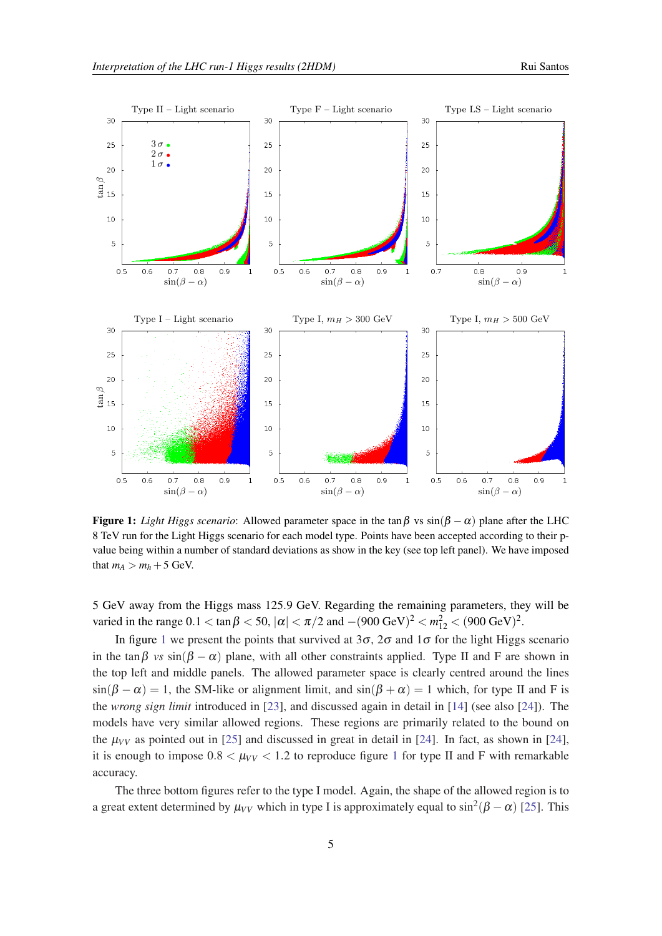<span id="page-4-0"></span>

**Figure 1:** *Light Higgs scenario*: Allowed parameter space in the tan β vs  $\sin(\beta - \alpha)$  plane after the LHC 8 TeV run for the Light Higgs scenario for each model type. Points have been accepted according to their pvalue being within a number of standard deviations as show in the key (see top left panel). We have imposed that  $m_A > m_h + 5$  GeV.

5 GeV away from the Higgs mass 125.9 GeV. Regarding the remaining parameters, they will be varied in the range  $0.1 < \tan \beta < 50$ ,  $|\alpha| < \pi/2$  and  $-(900 \text{ GeV})^2 < m_{12}^2 < (900 \text{ GeV})^2$ .

In figure 1 we present the points that survived at  $3\sigma$ ,  $2\sigma$  and  $1\sigma$  for the light Higgs scenario in the tan $\beta$  *vs* sin( $\beta - \alpha$ ) plane, with all other constraints applied. Type II and F are shown in the top left and middle panels. The allowed parameter space is clearly centred around the lines  $sin(\beta - \alpha) = 1$ , the SM-like or alignment limit, and  $sin(\beta + \alpha) = 1$  which, for type II and F is the *wrong sign limit* introduced in [\[23](#page-9-0)], and discussed again in detail in [\[14](#page-9-0)] (see also [\[24](#page-9-0)]). The models have very similar allowed regions. These regions are primarily related to the bound on the  $\mu_{VV}$  as pointed out in [[25\]](#page-9-0) and discussed in great in detail in [\[24](#page-9-0)]. In fact, as shown in [[24\]](#page-9-0), it is enough to impose  $0.8 < \mu_{VV} < 1.2$  to reproduce figure 1 for type II and F with remarkable accuracy.

The three bottom figures refer to the type I model. Again, the shape of the allowed region is to a great extent determined by  $\mu_{VV}$  which in type I is approximately equal to  $\sin^2(\beta - \alpha)$  [[25\]](#page-9-0). This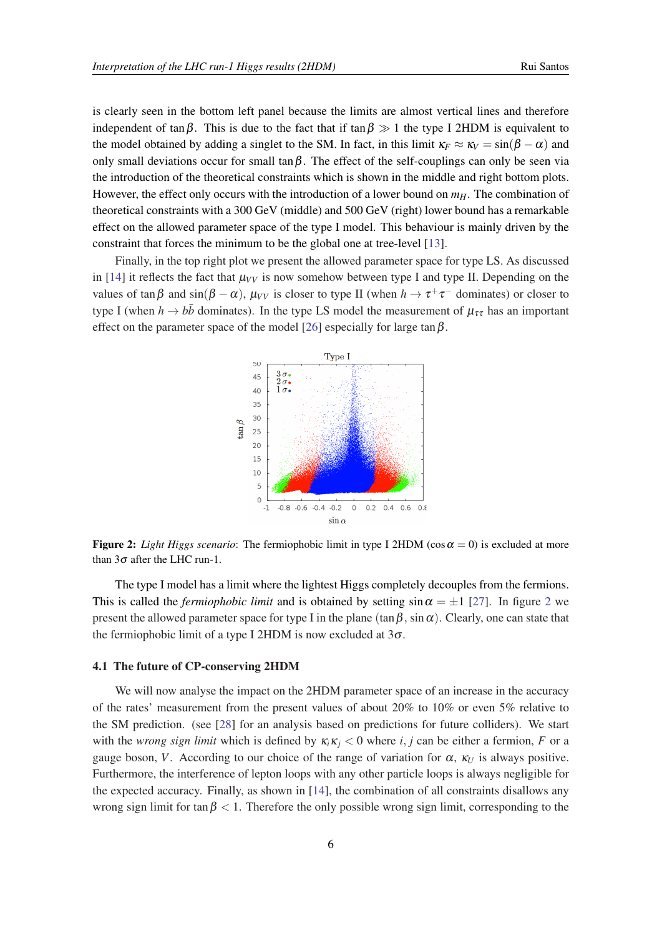is clearly seen in the bottom left panel because the limits are almost vertical lines and therefore independent of tan $\beta$ . This is due to the fact that if tan  $\beta \gg 1$  the type I 2HDM is equivalent to the model obtained by adding a singlet to the SM. In fact, in this limit  $\kappa_F \approx \kappa_V = \sin(\beta - \alpha)$  and only small deviations occur for small tan $\beta$ . The effect of the self-couplings can only be seen via the introduction of the theoretical constraints which is shown in the middle and right bottom plots. However, the effect only occurs with the introduction of a lower bound on  $m_H$ . The combination of theoretical constraints with a 300 GeV (middle) and 500 GeV (right) lower bound has a remarkable effect on the allowed parameter space of the type I model. This behaviour is mainly driven by the constraint that forces the minimum to be the global one at tree-level [\[13](#page-9-0)].

Finally, in the top right plot we present the allowed parameter space for type LS. As discussed in [\[14](#page-9-0)] it reflects the fact that  $\mu_{VV}$  is now somehow between type I and type II. Depending on the values of  $\tan \beta$  and  $\sin(\beta - \alpha)$ ,  $\mu_{VV}$  is closer to type II (when  $h \to \tau^+ \tau^-$  dominates) or closer to type I (when  $h \to b\bar{b}$  dominates). In the type LS model the measurement of  $\mu_{\tau\tau}$  has an important effect on the parameter space of the model [\[26](#page-9-0)] especially for large tan  $\beta$ .



**Figure 2:** *Light Higgs scenario*: The fermiophobic limit in type I 2HDM ( $\cos \alpha = 0$ ) is excluded at more than  $3\sigma$  after the LHC run-1.

The type I model has a limit where the lightest Higgs completely decouples from the fermions. This is called the *fermiophobic limit* and is obtained by setting  $\sin \alpha = \pm 1$  [\[27](#page-9-0)]. In figure 2 we present the allowed parameter space for type I in the plane  $(\tan \beta, \sin \alpha)$ . Clearly, one can state that the fermiophobic limit of a type I 2HDM is now excluded at  $3\sigma$ .

#### 4.1 The future of CP-conserving 2HDM

We will now analyse the impact on the 2HDM parameter space of an increase in the accuracy of the rates' measurement from the present values of about 20% to 10% or even 5% relative to the SM prediction. (see [\[28](#page-9-0)] for an analysis based on predictions for future colliders). We start with the *wrong sign limit* which is defined by  $\kappa_i \kappa_j < 0$  where *i*, *j* can be either a fermion, *F* or a gauge boson, *V*. According to our choice of the range of variation for  $\alpha$ ,  $\kappa_U$  is always positive. Furthermore, the interference of lepton loops with any other particle loops is always negligible for the expected accuracy. Finally, as shown in [\[14](#page-9-0)], the combination of all constraints disallows any wrong sign limit for tan $\beta$  < 1. Therefore the only possible wrong sign limit, corresponding to the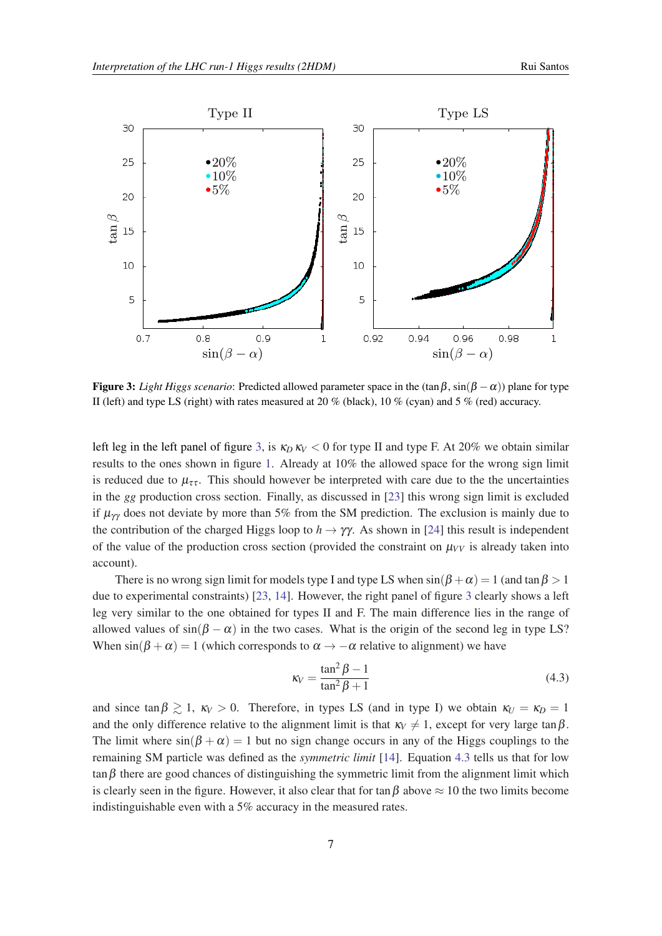

Figure 3: *Light Higgs scenario*: Predicted allowed parameter space in the  $(\tan \beta, \sin(\beta - \alpha))$  plane for type II (left) and type LS (right) with rates measured at 20 % (black), 10 % (cyan) and 5 % (red) accuracy.

left leg in the left panel of figure 3, is  $\kappa_D \kappa_V < 0$  for type II and type F. At 20% we obtain similar results to the ones shown in figure [1](#page-4-0). Already at 10% the allowed space for the wrong sign limit is reduced due to  $\mu_{\tau\tau}$ . This should however be interpreted with care due to the the uncertainties in the *gg* production cross section. Finally, as discussed in [\[23](#page-9-0)] this wrong sign limit is excluded if  $\mu_{\gamma\gamma}$  does not deviate by more than 5% from the SM prediction. The exclusion is mainly due to the contribution of the charged Higgs loop to  $h \to \gamma \gamma$ . As shown in [[24\]](#page-9-0) this result is independent of the value of the production cross section (provided the constraint on  $\mu_{VV}$  is already taken into account).

There is no wrong sign limit for models type I and type LS when  $sin(\beta + \alpha) = 1$  (and  $tan \beta > 1$ ) due to experimental constraints) [\[23](#page-9-0), [14\]](#page-9-0). However, the right panel of figure 3 clearly shows a left leg very similar to the one obtained for types II and F. The main difference lies in the range of allowed values of  $sin(\beta - \alpha)$  in the two cases. What is the origin of the second leg in type LS? When  $\sin(\beta + \alpha) = 1$  (which corresponds to  $\alpha \rightarrow -\alpha$  relative to alignment) we have

$$
\kappa_V = \frac{\tan^2 \beta - 1}{\tan^2 \beta + 1} \tag{4.3}
$$

and since  $\tan \beta \gtrsim 1$ ,  $\kappa_V > 0$ . Therefore, in types LS (and in type I) we obtain  $\kappa_U = \kappa_D = 1$ and the only difference relative to the alignment limit is that  $\kappa_V \neq 1$ , except for very large tan  $\beta$ . The limit where  $sin(\beta + \alpha) = 1$  but no sign change occurs in any of the Higgs couplings to the remaining SM particle was defined as the *symmetric limit* [[14\]](#page-9-0). Equation 4.3 tells us that for low tan  $\beta$  there are good chances of distinguishing the symmetric limit from the alignment limit which is clearly seen in the figure. However, it also clear that for tan  $\beta$  above  $\approx 10$  the two limits become indistinguishable even with a 5% accuracy in the measured rates.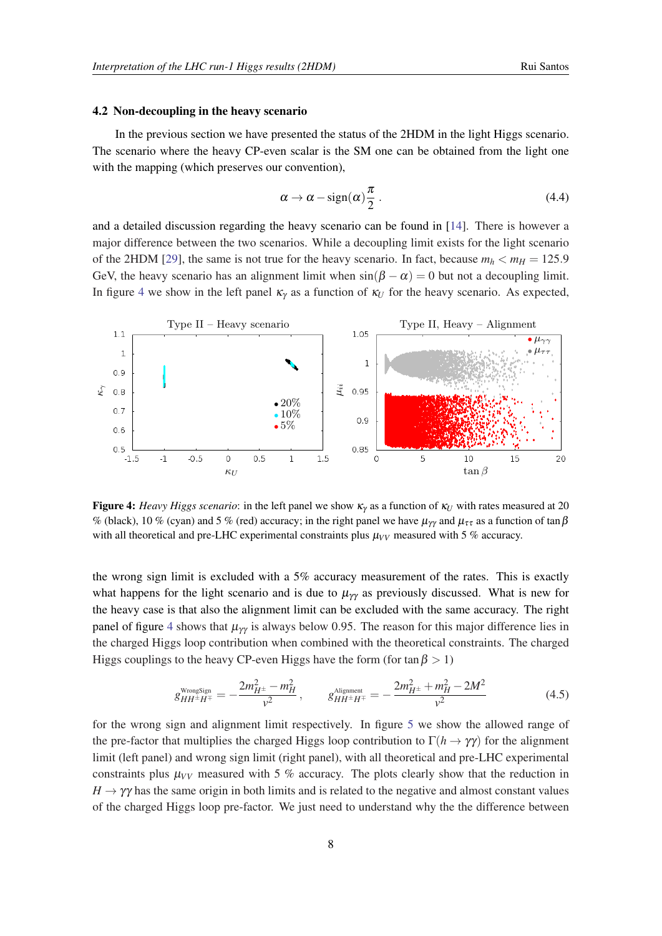#### <span id="page-7-0"></span>4.2 Non-decoupling in the heavy scenario

In the previous section we have presented the status of the 2HDM in the light Higgs scenario. The scenario where the heavy CP-even scalar is the SM one can be obtained from the light one with the mapping (which preserves our convention),

$$
\alpha \to \alpha - \text{sign}(\alpha) \frac{\pi}{2} \,. \tag{4.4}
$$

and a detailed discussion regarding the heavy scenario can be found in [[14\]](#page-9-0). There is however a major difference between the two scenarios. While a decoupling limit exists for the light scenario of the 2HDM [\[29\]](#page-9-0), the same is not true for the heavy scenario. In fact, because  $m_h < m_H = 125.9$ GeV, the heavy scenario has an alignment limit when  $sin(\beta - \alpha) = 0$  but not a decoupling limit. In figure 4 we show in the left panel  $\kappa<sub>V</sub>$  as a function of  $\kappa<sub>U</sub>$  for the heavy scenario. As expected,



**Figure 4:** *Heavy Higgs scenario*: in the left panel we show  $\kappa_y$  as a function of  $\kappa_U$  with rates measured at 20 % (black), 10 % (cyan) and 5 % (red) accuracy; in the right panel we have  $\mu_{\gamma\gamma}$  and  $\mu_{\tau\tau}$  as a function of tan  $\beta$ with all theoretical and pre-LHC experimental constraints plus  $\mu_{VV}$  measured with 5 % accuracy.

the wrong sign limit is excluded with a 5% accuracy measurement of the rates. This is exactly what happens for the light scenario and is due to  $\mu_{\gamma\gamma}$  as previously discussed. What is new for the heavy case is that also the alignment limit can be excluded with the same accuracy. The right panel of figure 4 shows that  $\mu_{\gamma\gamma}$  is always below 0.95. The reason for this major difference lies in the charged Higgs loop contribution when combined with the theoretical constraints. The charged Higgs couplings to the heavy CP-even Higgs have the form (for tan  $\beta > 1$ )

$$
g_{HH^{\pm}H^{\mp}}^{\text{WrongSign}} = -\frac{2m_{H^{\pm}}^2 - m_H^2}{v^2}, \qquad g_{HH^{\pm}H^{\mp}}^{\text{Alignment}} = -\frac{2m_{H^{\pm}}^2 + m_H^2 - 2M^2}{v^2}
$$
(4.5)

for the wrong sign and alignment limit respectively. In figure [5](#page-8-0) we show the allowed range of the pre-factor that multiplies the charged Higgs loop contribution to  $\Gamma(h \to \gamma \gamma)$  for the alignment limit (left panel) and wrong sign limit (right panel), with all theoretical and pre-LHC experimental constraints plus  $\mu_{VV}$  measured with 5 % accuracy. The plots clearly show that the reduction in  $H \to \gamma \gamma$  has the same origin in both limits and is related to the negative and almost constant values of the charged Higgs loop pre-factor. We just need to understand why the the difference between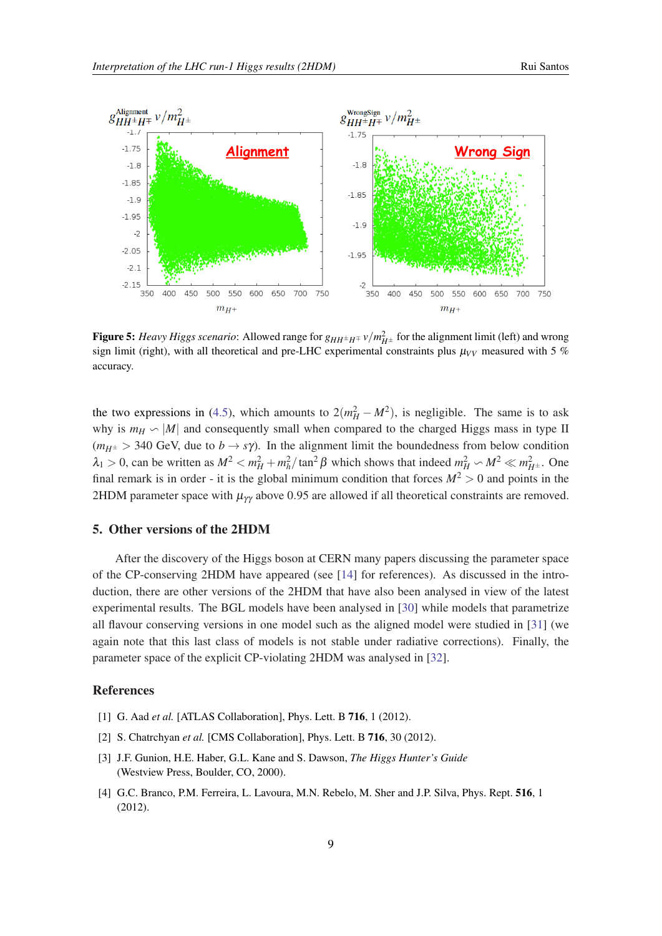<span id="page-8-0"></span>

Figure 5: *Heavy Higgs scenario*: Allowed range for  $g_{HH^{\pm}H^{\mp}} v/m_{H^{\pm}}^2$  for the alignment limit (left) and wrong sign limit (right), with all theoretical and pre-LHC experimental constraints plus  $\mu_{VV}$  measured with 5 % accuracy.

the two expressions in ([4.5](#page-7-0)), which amounts to  $2(m_H^2 - M^2)$ , is negligible. The same is to ask why is  $m_H \backsim |M|$  and consequently small when compared to the charged Higgs mass in type II  $(m_{H^{\pm}} > 340 \text{ GeV},$  due to  $b \rightarrow s\gamma$ ). In the alignment limit the boundedness from below condition  $\lambda_1 > 0$ , can be written as  $M^2 < m_H^2 + m_h^2 / \tan^2 \beta$  which shows that indeed  $m_H^2 \sim M^2 \ll m_{H^{\pm}}^2$ . One final remark is in order - it is the global minimum condition that forces  $M^2 > 0$  and points in the 2HDM parameter space with  $\mu_{\gamma\gamma}$  above 0.95 are allowed if all theoretical constraints are removed.

#### 5. Other versions of the 2HDM

After the discovery of the Higgs boson at CERN many papers discussing the parameter space of the CP-conserving 2HDM have appeared (see [[14\]](#page-9-0) for references). As discussed in the introduction, there are other versions of the 2HDM that have also been analysed in view of the latest experimental results. The BGL models have been analysed in [[30](#page-9-0)] while models that parametrize all flavour conserving versions in one model such as the aligned model were studied in [[31\]](#page-9-0) (we again note that this last class of models is not stable under radiative corrections). Finally, the parameter space of the explicit CP-violating 2HDM was analysed in [\[32](#page-9-0)].

#### References

- [1] G. Aad *et al.* [ATLAS Collaboration], Phys. Lett. B **716**, 1 (2012).
- [2] S. Chatrchyan et al. [CMS Collaboration], Phys. Lett. B 716, 30 (2012).
- [3] J.F. Gunion, H.E. Haber, G.L. Kane and S. Dawson, *The Higgs Hunter's Guide* (Westview Press, Boulder, CO, 2000).
- [4] G.C. Branco, P.M. Ferreira, L. Lavoura, M.N. Rebelo, M. Sher and J.P. Silva, Phys. Rept. 516, 1 (2012).